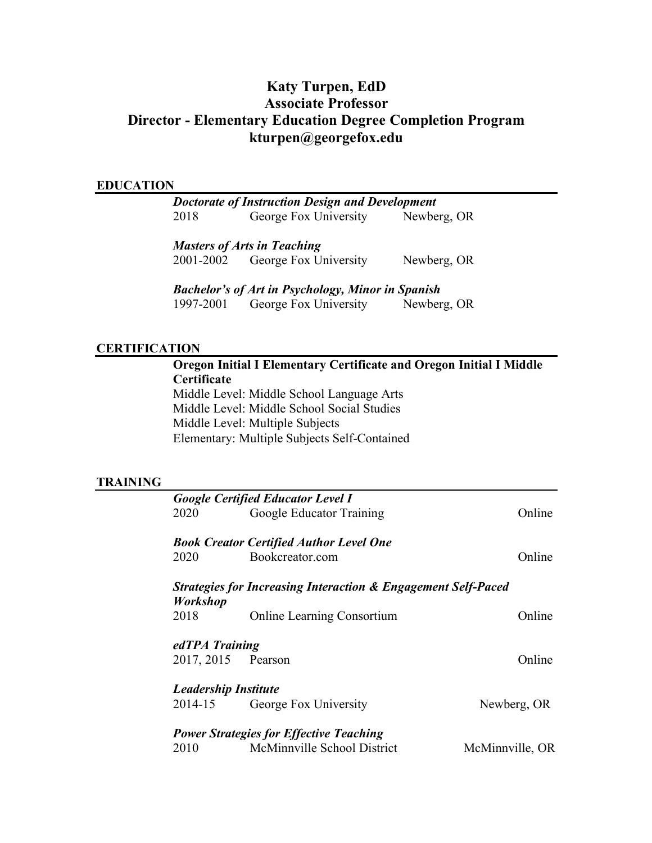# **Katy Turpen, EdD Associate Professor Director - Elementary Education Degree Completion Program kturpen@georgefox.edu**

#### **EDUCATION**

*Doctorate of Instruction Design and Development* 2018 George Fox University Newberg, OR

*Masters of Arts in Teaching*

2001-2002 George Fox University Newberg, OR

*Bachelor's of Art in Psychology, Minor in Spanish* 1997-2001 George Fox University Newberg, OR

#### **CERTIFICATION**

**Oregon Initial I Elementary Certificate and Oregon Initial I Middle Certificate** Middle Level: Middle School Language Arts Middle Level: Middle School Social Studies

Middle Level: Multiple Subjects Elementary: Multiple Subjects Self-Contained

### **TRAINING**

|                             | <b>Google Certified Educator Level I</b>                                 |                 |
|-----------------------------|--------------------------------------------------------------------------|-----------------|
| 2020                        | Google Educator Training                                                 | Online          |
|                             | <b>Book Creator Certified Author Level One</b>                           |                 |
| 2020                        | Bookcreator.com                                                          | Online          |
| <b>Workshop</b>             | <b>Strategies for Increasing Interaction &amp; Engagement Self-Paced</b> |                 |
| 2018                        | <b>Online Learning Consortium</b>                                        | Online          |
| edTPA Training              |                                                                          |                 |
| 2017, 2015 Pearson          |                                                                          | Online          |
| <b>Leadership Institute</b> |                                                                          |                 |
| 2014-15                     | George Fox University                                                    | Newberg, OR     |
|                             | <b>Power Strategies for Effective Teaching</b>                           |                 |
| 2010                        | McMinnville School District                                              | McMinnville, OR |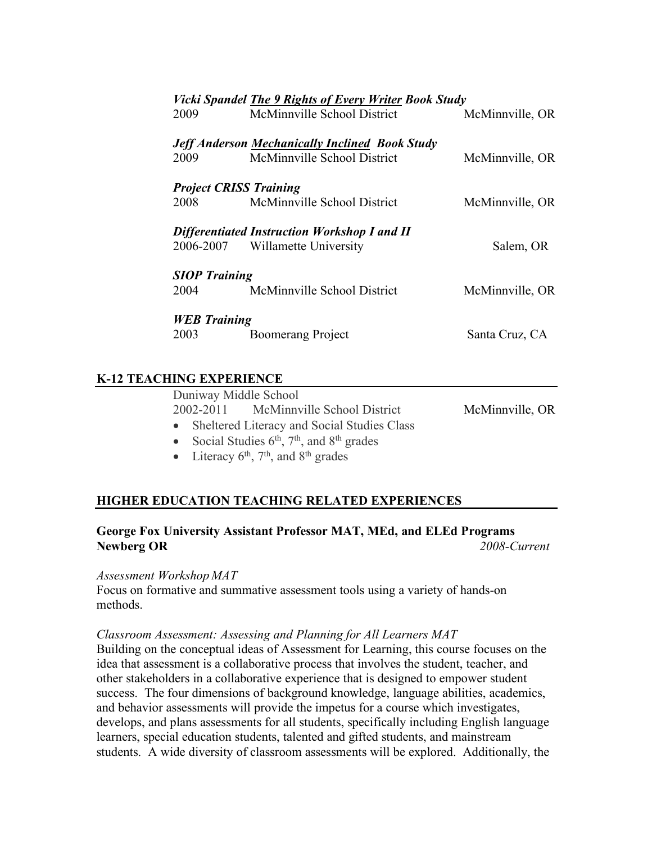| <b>Vicki Spandel The 9 Rights of Every Writer Book Study</b> |                                                       |                 |  |
|--------------------------------------------------------------|-------------------------------------------------------|-----------------|--|
| 2009                                                         | McMinnville School District                           | McMinnville, OR |  |
|                                                              |                                                       |                 |  |
|                                                              | <b>Jeff Anderson Mechanically Inclined Book Study</b> |                 |  |
| 2009                                                         | McMinnville School District                           | McMinnville, OR |  |
| <b>Project CRISS Training</b>                                |                                                       |                 |  |
|                                                              |                                                       |                 |  |
| 2008                                                         | McMinnville School District                           | McMinnville, OR |  |
|                                                              | <b>Differentiated Instruction Workshop I and II</b>   |                 |  |
|                                                              | 2006-2007 Willamette University                       | Salem, OR       |  |
|                                                              |                                                       |                 |  |
| <b>SIOP</b> Training                                         |                                                       |                 |  |
|                                                              | 2004 McMinnville School District                      | McMinnville, OR |  |
|                                                              |                                                       |                 |  |
| <b>WEB</b> Training                                          |                                                       |                 |  |
| 2003                                                         | <b>Boomerang Project</b>                              | Santa Cruz, CA  |  |

# **K-12 TEACHING EXPERIENCE**

| Duniway Middle School                             |                 |
|---------------------------------------------------|-----------------|
| 2002-2011 McMinnville School District             | McMinnville, OR |
| • Sheltered Literacy and Social Studies Class     |                 |
| • Social Studies $6th$ , $7th$ , and $8th$ grades |                 |

• Literacy  $6<sup>th</sup>$ ,  $7<sup>th</sup>$ , and  $8<sup>th</sup>$  grades

# **HIGHER EDUCATION TEACHING RELATED EXPERIENCES**

# **George Fox University Assistant Professor MAT, MEd, and ELEd Programs Newberg OR** *2008-Current*

# *Assessment Workshop MAT*

Focus on formative and summative assessment tools using a variety of hands-on methods.

### *Classroom Assessment: Assessing and Planning for All Learners MAT*

Building on the conceptual ideas of Assessment for Learning, this course focuses on the idea that assessment is a collaborative process that involves the student, teacher, and other stakeholders in a collaborative experience that is designed to empower student success. The four dimensions of background knowledge, language abilities, academics, and behavior assessments will provide the impetus for a course which investigates, develops, and plans assessments for all students, specifically including English language learners, special education students, talented and gifted students, and mainstream students. A wide diversity of classroom assessments will be explored. Additionally, the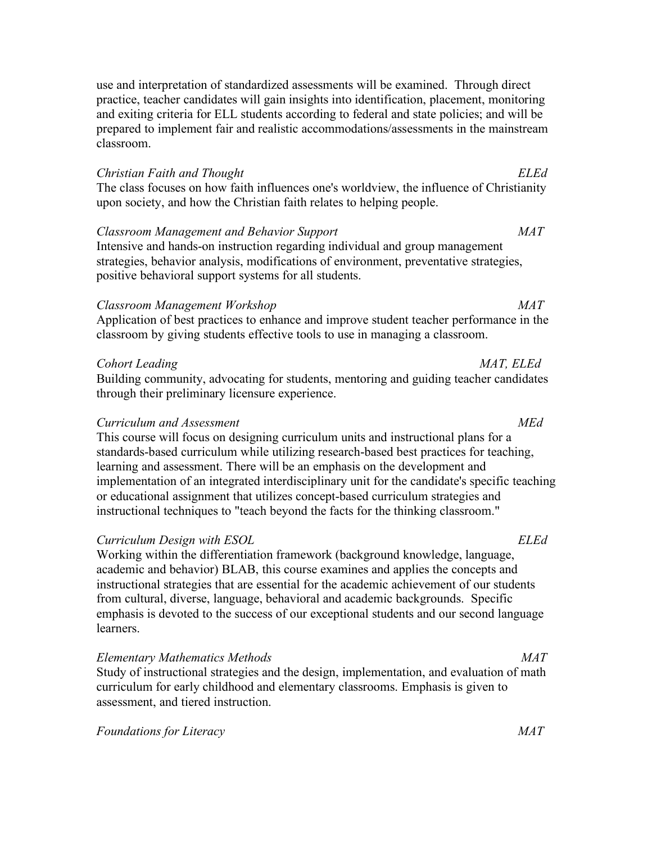use and interpretation of standardized assessments will be examined. Through direct practice, teacher candidates will gain insights into identification, placement, monitoring and exiting criteria for ELL students according to federal and state policies; and will be prepared to implement fair and realistic accommodations/assessments in the mainstream classroom.

### *Christian Faith and Thought ELEd*

The class focuses on how faith influences one's worldview, the influence of Christianity upon society, and how the Christian faith relates to helping people.

### *Classroom Management and Behavior Support MAT*

Intensive and hands-on instruction regarding individual and group management strategies, behavior analysis, modifications of environment, preventative strategies, positive behavioral support systems for all students.

# *Classroom Management Workshop MAT*

Application of best practices to enhance and improve student teacher performance in the classroom by giving students effective tools to use in managing a classroom.

### *Cohort Leading MAT, ELEd*

Building community, advocating for students, mentoring and guiding teacher candidates through their preliminary licensure experience.

### *Curriculum and Assessment MEd*

This course will focus on designing curriculum units and instructional plans for a standards-based curriculum while utilizing research-based best practices for teaching, learning and assessment. There will be an emphasis on the development and implementation of an integrated interdisciplinary unit for the candidate's specific teaching or educational assignment that utilizes concept-based curriculum strategies and instructional techniques to "teach beyond the facts for the thinking classroom."

#### *Curriculum Design with ESOL ELEd*

Working within the differentiation framework (background knowledge, language, academic and behavior) BLAB, this course examines and applies the concepts and instructional strategies that are essential for the academic achievement of our students from cultural, diverse, language, behavioral and academic backgrounds. Specific emphasis is devoted to the success of our exceptional students and our second language learners.

#### *Elementary Mathematics Methods MAT*

Study of instructional strategies and the design, implementation, and evaluation of math curriculum for early childhood and elementary classrooms. Emphasis is given to assessment, and tiered instruction.

*Foundations for Literacy MAT*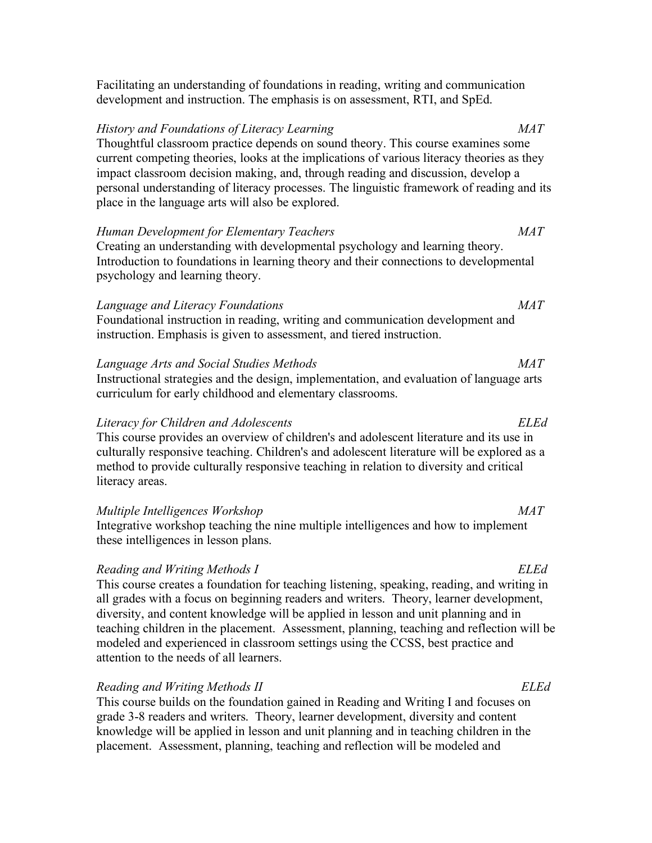| Thoughtful classroom practice depends on sound theory. This course examines some<br>current competing theories, looks at the implications of various literacy theories as they<br>impact classroom decision making, and, through reading and discussion, develop a<br>personal understanding of literacy processes. The linguistic framework of reading and its<br>place in the language arts will also be explored. |             |
|----------------------------------------------------------------------------------------------------------------------------------------------------------------------------------------------------------------------------------------------------------------------------------------------------------------------------------------------------------------------------------------------------------------------|-------------|
| Human Development for Elementary Teachers                                                                                                                                                                                                                                                                                                                                                                            | <b>MAT</b>  |
| Creating an understanding with developmental psychology and learning theory.<br>Introduction to foundations in learning theory and their connections to developmental<br>psychology and learning theory.                                                                                                                                                                                                             |             |
| Language and Literacy Foundations                                                                                                                                                                                                                                                                                                                                                                                    | MAT         |
| Foundational instruction in reading, writing and communication development and<br>instruction. Emphasis is given to assessment, and tiered instruction.                                                                                                                                                                                                                                                              |             |
| Language Arts and Social Studies Methods                                                                                                                                                                                                                                                                                                                                                                             | MAT         |
| Instructional strategies and the design, implementation, and evaluation of language arts<br>curriculum for early childhood and elementary classrooms.                                                                                                                                                                                                                                                                |             |
| Literacy for Children and Adolescents                                                                                                                                                                                                                                                                                                                                                                                | <b>ELEd</b> |
| This course provides an overview of children's and adolescent literature and its use in<br>culturally responsive teaching. Children's and adolescent literature will be explored as a<br>method to provide culturally responsive teaching in relation to diversity and critical<br>literacy areas.                                                                                                                   |             |

Facilitating an understanding of foundations in reading, writing and communication

*History and Foundations of Literacy Learning MAT*

development and instruction. The emphasis is on assessment, RTI, and SpEd.

#### *Multiple Intelligences Workshop MAT*

Integrative workshop teaching the nine multiple intelligences and how to implement these intelligences in lesson plans.

#### *Reading and Writing Methods I ELEd*

This course creates a foundation for teaching listening, speaking, reading, and writing in all grades with a focus on beginning readers and writers. Theory, learner development, diversity, and content knowledge will be applied in lesson and unit planning and in teaching children in the placement. Assessment, planning, teaching and reflection will be modeled and experienced in classroom settings using the CCSS, best practice and attention to the needs of all learners.

### *Reading and Writing Methods II ELEd*

This course builds on the foundation gained in Reading and Writing I and focuses on grade 3-8 readers and writers. Theory, learner development, diversity and content knowledge will be applied in lesson and unit planning and in teaching children in the placement. Assessment, planning, teaching and reflection will be modeled and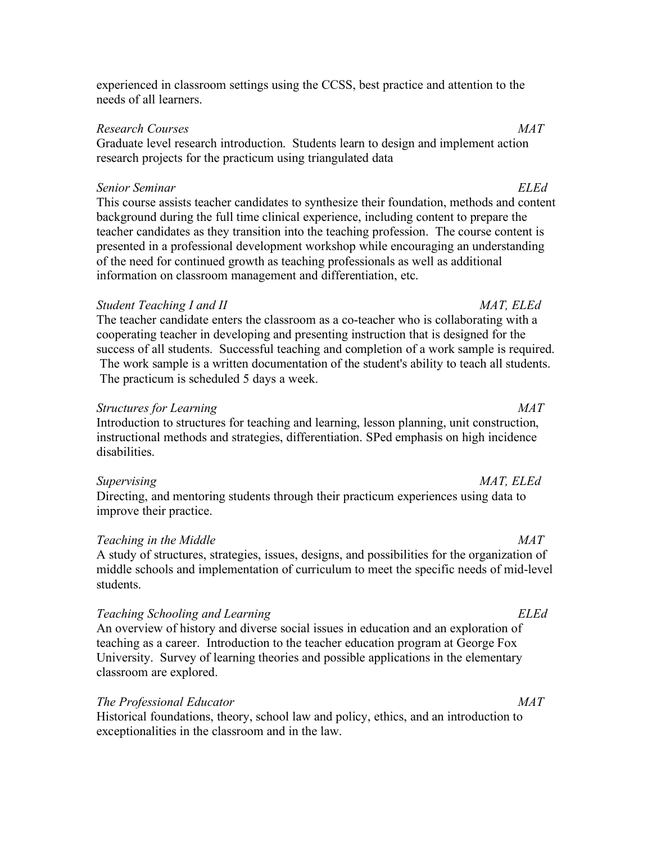experienced in classroom settings using the CCSS, best practice and attention to the needs of all learners.

### *Research Courses MAT*

Graduate level research introduction. Students learn to design and implement action research projects for the practicum using triangulated data

### *Senior Seminar ELEd*

This course assists teacher candidates to synthesize their foundation, methods and content background during the full time clinical experience, including content to prepare the teacher candidates as they transition into the teaching profession. The course content is presented in a professional development workshop while encouraging an understanding of the need for continued growth as teaching professionals as well as additional information on classroom management and differentiation, etc.

# *Student Teaching I and II MAT, ELEd*

The teacher candidate enters the classroom as a co-teacher who is collaborating with a cooperating teacher in developing and presenting instruction that is designed for the success of all students. Successful teaching and completion of a work sample is required. The work sample is a written documentation of the student's ability to teach all students. The practicum is scheduled 5 days a week.

# *Structures for Learning MAT*

Introduction to structures for teaching and learning, lesson planning, unit construction, instructional methods and strategies, differentiation. SPed emphasis on high incidence disabilities.

Directing, and mentoring students through their practicum experiences using data to improve their practice.

# *Teaching in the Middle MAT*

A study of structures, strategies, issues, designs, and possibilities for the organization of middle schools and implementation of curriculum to meet the specific needs of mid-level students.

# *Teaching Schooling and Learning ELEd*

An overview of history and diverse social issues in education and an exploration of teaching as a career. Introduction to the teacher education program at George Fox University. Survey of learning theories and possible applications in the elementary classroom are explored.

# *The Professional Educator MAT*

Historical foundations, theory, school law and policy, ethics, and an introduction to exceptionalities in the classroom and in the law.

# *Supervising MAT, ELEd*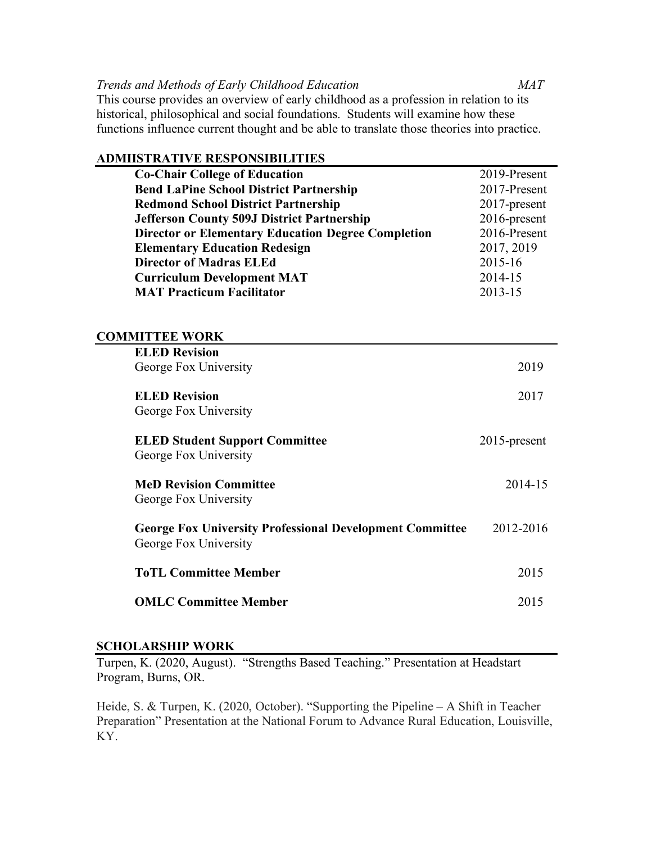### *Trends and Methods of Early Childhood Education MAT*

This course provides an overview of early childhood as a profession in relation to its historical, philosophical and social foundations. Students will examine how these functions influence current thought and be able to translate those theories into practice.

| <b>ADMIISTRATIVE RESPONSIBILITIES</b>                           |              |
|-----------------------------------------------------------------|--------------|
| <b>Co-Chair College of Education</b>                            | 2019-Present |
| <b>Bend LaPine School District Partnership</b>                  | 2017-Present |
| <b>Redmond School District Partnership</b>                      | 2017-present |
| <b>Jefferson County 509J District Partnership</b>               | 2016-present |
| <b>Director or Elementary Education Degree Completion</b>       | 2016-Present |
| <b>Elementary Education Redesign</b>                            | 2017, 2019   |
| <b>Director of Madras ELEd</b>                                  | 2015-16      |
| <b>Curriculum Development MAT</b>                               | 2014-15      |
| <b>MAT Practicum Facilitator</b>                                | 2013-15      |
|                                                                 |              |
|                                                                 |              |
| <b>COMMITTEE WORK</b>                                           |              |
| <b>ELED Revision</b>                                            |              |
| George Fox University                                           | 2019         |
|                                                                 |              |
| <b>ELED Revision</b>                                            | 2017         |
| George Fox University                                           |              |
| <b>ELED Student Support Committee</b>                           | 2015-present |
| George Fox University                                           |              |
|                                                                 |              |
| <b>MeD Revision Committee</b>                                   | 2014-15      |
| George Fox University                                           |              |
|                                                                 |              |
| <b>George Fox University Professional Development Committee</b> | 2012-2016    |
| George Fox University                                           |              |
| <b>ToTL Committee Member</b>                                    | 2015         |
|                                                                 |              |
| <b>OMLC Committee Member</b>                                    | 2015         |

# **SCHOLARSHIP WORK**

Turpen, K. (2020, August). "Strengths Based Teaching." Presentation at Headstart Program, Burns, OR.

Heide, S. & Turpen, K. (2020, October). "Supporting the Pipeline – A Shift in Teacher Preparation" Presentation at the National Forum to Advance Rural Education, Louisville, KY.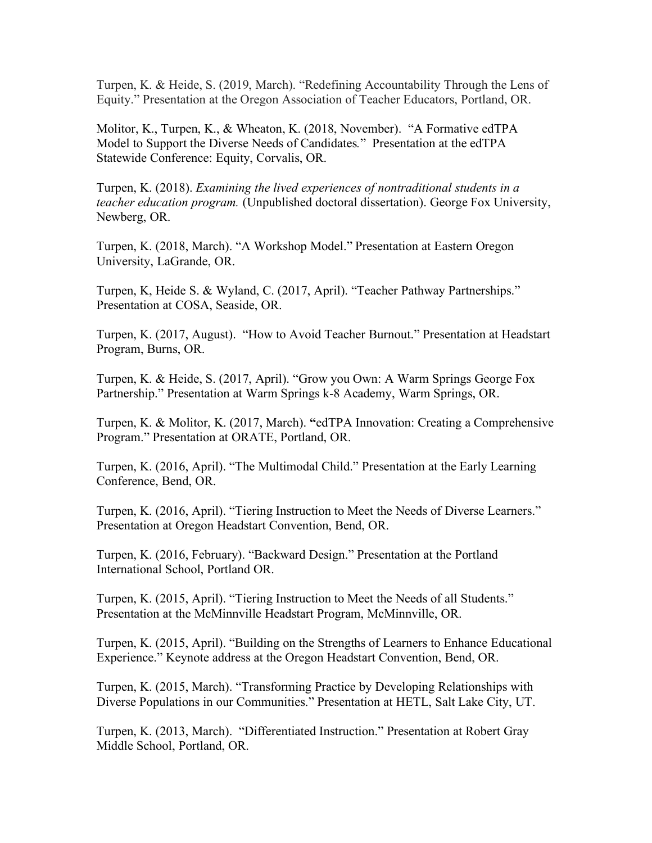Turpen, K. & Heide, S. (2019, March). "Redefining Accountability Through the Lens of Equity." Presentation at the Oregon Association of Teacher Educators, Portland, OR.

Molitor, K., Turpen, K., & Wheaton, K. (2018, November). "A Formative edTPA Model to Support the Diverse Needs of Candidates*.*" Presentation at the edTPA Statewide Conference: Equity, Corvalis, OR.

Turpen, K. (2018). *Examining the lived experiences of nontraditional students in a teacher education program.* (Unpublished doctoral dissertation). George Fox University, Newberg, OR.

Turpen, K. (2018, March). "A Workshop Model." Presentation at Eastern Oregon University, LaGrande, OR.

Turpen, K, Heide S. & Wyland, C. (2017, April). "Teacher Pathway Partnerships." Presentation at COSA, Seaside, OR.

Turpen, K. (2017, August). "How to Avoid Teacher Burnout." Presentation at Headstart Program, Burns, OR.

Turpen, K. & Heide, S. (2017, April). "Grow you Own: A Warm Springs George Fox Partnership." Presentation at Warm Springs k-8 Academy, Warm Springs, OR.

Turpen, K. & Molitor, K. (2017, March). **"**edTPA Innovation: Creating a Comprehensive Program." Presentation at ORATE, Portland, OR.

Turpen, K. (2016, April). "The Multimodal Child." Presentation at the Early Learning Conference, Bend, OR.

Turpen, K. (2016, April). "Tiering Instruction to Meet the Needs of Diverse Learners." Presentation at Oregon Headstart Convention, Bend, OR.

Turpen, K. (2016, February). "Backward Design." Presentation at the Portland International School, Portland OR.

Turpen, K. (2015, April). "Tiering Instruction to Meet the Needs of all Students." Presentation at the McMinnville Headstart Program, McMinnville, OR.

Turpen, K. (2015, April). "Building on the Strengths of Learners to Enhance Educational Experience." Keynote address at the Oregon Headstart Convention, Bend, OR.

Turpen, K. (2015, March). "Transforming Practice by Developing Relationships with Diverse Populations in our Communities." Presentation at HETL, Salt Lake City, UT.

Turpen, K. (2013, March). "Differentiated Instruction." Presentation at Robert Gray Middle School, Portland, OR.